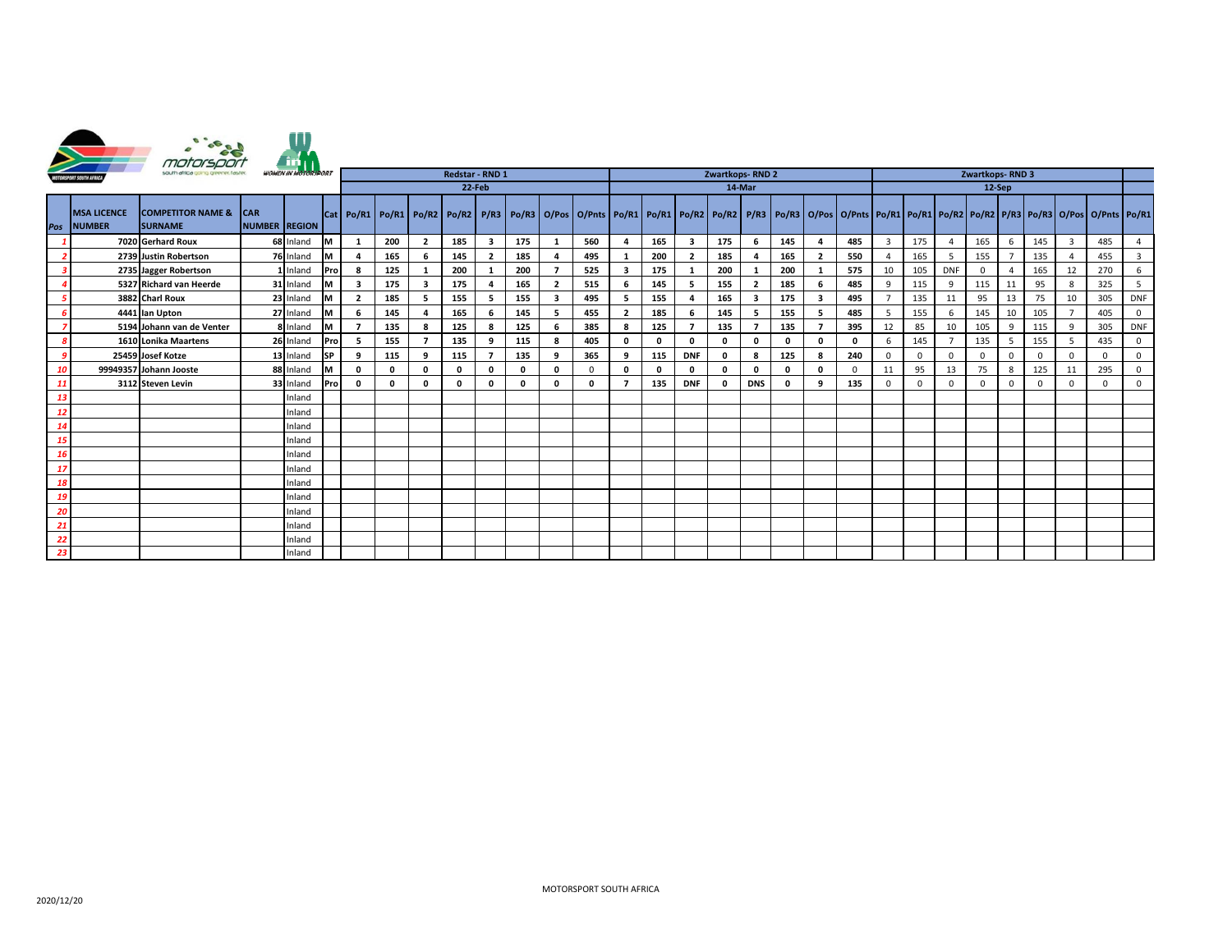



|      | MOTORSPORT SOUTH AFRICA<br>south africa going greener, faster,<br><b>WOMEN IN MOTOR IPORT</b> |                                                |                              |              |            | Redstar - RND 1         |              |                |     |                |     |                          | Zwartkops-RND 2                                                                                                                                                           |   |     |                         |              |                | Zwartkops-RND 3 |                         |          |                |              |            |          |    |          |    |          |              |
|------|-----------------------------------------------------------------------------------------------|------------------------------------------------|------------------------------|--------------|------------|-------------------------|--------------|----------------|-----|----------------|-----|--------------------------|---------------------------------------------------------------------------------------------------------------------------------------------------------------------------|---|-----|-------------------------|--------------|----------------|-----------------|-------------------------|----------|----------------|--------------|------------|----------|----|----------|----|----------|--------------|
|      |                                                                                               |                                                |                              |              |            | 22-Feb                  |              |                |     |                |     | 14-Mar                   |                                                                                                                                                                           |   |     |                         | 12-Sep       |                |                 |                         |          |                |              |            |          |    |          |    |          |              |
|      | <b>MSA LICENCE</b><br>Pos NUMBER                                                              | <b>COMPETITOR NAME &amp;</b><br><b>SURNAME</b> | ICAR<br><b>NUMBER REGION</b> |              |            |                         |              |                |     |                |     |                          | Cat Po/R1 Po/R1 Po/R2 Po/R2 P/R3 P/R3 Po/R3 O/Pos O/Pnts Po/R1 Po/R1 Po/R2 Po/R2 P/R3 Po/R3 O/Pos O/Pnts Po/R1 Po/R1 Po/R1 Po/R1 Po/R2 Po/R2 PR3 Po/R3 O/Pos O/Pnts Po/R1 |   |     |                         |              |                |                 |                         |          |                |              |            |          |    |          |    |          |              |
|      |                                                                                               | 7020 Gerhard Roux                              |                              | 68 Inland M  |            |                         | 200          | $\overline{2}$ | 185 | - 3            | 175 |                          | 560                                                                                                                                                                       |   | 165 | $\overline{\mathbf{3}}$ | 175          | 6              | 145             | 4                       | 485      | $\overline{3}$ | 175          |            | 165      | -6 | 145      |    | 485      |              |
|      |                                                                                               | 2739 Justin Robertson                          |                              | 76 Inland    | <u>Ім</u>  | $\overline{a}$          | 165          | -6             | 145 | $\overline{2}$ | 185 |                          | 495                                                                                                                                                                       |   | 200 | $\overline{2}$          | 185          |                | 165             | $\overline{2}$          | 550      |                | 165          |            | 155      |    | 135      |    | 455      |              |
|      |                                                                                               | 2735 Jagger Robertson                          |                              | 1 Inland     | <b>Pro</b> |                         | 125          |                | 200 |                | 200 |                          | 525                                                                                                                                                                       |   | 175 |                         | 200          |                | 200             |                         | 575      | 10             | 105          | <b>DNF</b> | $\Omega$ |    | 165      | 12 | 270      |              |
|      |                                                                                               | 5327 Richard van Heerde                        |                              | 31 Inland    | <u>lм</u>  | $\overline{\mathbf{3}}$ | 175          | $\mathbf{3}$   | 175 |                | 165 | $\overline{\phantom{a}}$ | 515                                                                                                                                                                       |   | 145 |                         | 155          | $\overline{2}$ | 185             |                         | 485      | 9              | 115          |            | 115      | 11 | 95       |    | 325      |              |
|      |                                                                                               | 3882 Charl Roux                                |                              | 23 Inland    | lм         | $\overline{2}$          | 185          | -5             | 155 |                | 155 | $\overline{\mathbf{3}}$  | 495                                                                                                                                                                       |   | 155 |                         | 165          | 3              | 175             | $\overline{\mathbf{3}}$ | 495      |                | 135          | 11         | 95       | 13 | 75       | 10 | 305      | <b>DNF</b>   |
|      |                                                                                               | 4441 Ian Upton                                 |                              | 27 Inland    | M          |                         | 145          |                | 165 |                | 145 |                          | 455                                                                                                                                                                       |   | 185 |                         | 145          | 5              | 155             |                         | 485      |                | 155          |            | 145      | 10 | 105      |    | 405      | $\mathbf{0}$ |
|      |                                                                                               | 5194 Johann van de Venter                      |                              | 8 Inland     | lм         |                         | 135          |                | 125 |                | 125 |                          | 385                                                                                                                                                                       |   | 125 |                         | 135          |                | 135             |                         | 395      | 12             | 85           | 10         | 105      |    | 115      |    | 305      | <b>DNF</b>   |
|      |                                                                                               | 1610 Lonika Maartens                           |                              | 26 Inland    | <b>Pro</b> | -5                      | 155          |                | 135 |                | 115 | -8                       | 405                                                                                                                                                                       | 0 |     | <sup>0</sup>            | $\mathbf{0}$ | 0              | $\mathbf{0}$    | $\mathbf{0}$            | $\Omega$ | 6              | 145          |            | 135      | 5  | 155      |    | 435      | $\mathbf 0$  |
|      |                                                                                               | 25459 Josef Kotze                              |                              | 13 Inland SP |            | 9                       | 115          | 9              | 115 |                | 135 | 9                        | 365                                                                                                                                                                       | 9 | 115 | <b>DNF</b>              | $\mathbf 0$  | 8              | 125             | 8                       | 240      | $\Omega$       | $\mathbf{0}$ | $\Omega$   | $\Omega$ |    | $\Omega$ |    | $\Omega$ | $\mathbf{0}$ |
|      |                                                                                               | 99949357 Johann Jooste                         |                              | 88 Inland    | Iм         |                         | $\mathbf{o}$ |                | 0   |                |     | 0                        |                                                                                                                                                                           | 0 |     | <sup>0</sup>            | $\mathbf{0}$ | 0              | $\mathbf{0}$    | $\mathbf{0}$            |          | 11             | 95           | 13         | 75       |    | 125      |    | 295      | 0            |
| - 11 |                                                                                               | 3112 Steven Levin                              |                              | 33 Inland    | <b>Pro</b> |                         | $\mathbf{0}$ |                | O   |                |     | $\mathbf{0}$             |                                                                                                                                                                           |   | 135 | <b>DNF</b>              | 0            | <b>DNS</b>     |                 |                         | 135      | $\Omega$       | $\Omega$     |            | $\Omega$ |    |          |    |          | $\Omega$     |
| 13   |                                                                                               |                                                |                              | Inland       |            |                         |              |                |     |                |     |                          |                                                                                                                                                                           |   |     |                         |              |                |                 |                         |          |                |              |            |          |    |          |    |          |              |
| - 12 |                                                                                               |                                                |                              | Inland       |            |                         |              |                |     |                |     |                          |                                                                                                                                                                           |   |     |                         |              |                |                 |                         |          |                |              |            |          |    |          |    |          |              |
| 14   |                                                                                               |                                                |                              | Inland       |            |                         |              |                |     |                |     |                          |                                                                                                                                                                           |   |     |                         |              |                |                 |                         |          |                |              |            |          |    |          |    |          |              |
| 15   |                                                                                               |                                                |                              | Inland       |            |                         |              |                |     |                |     |                          |                                                                                                                                                                           |   |     |                         |              |                |                 |                         |          |                |              |            |          |    |          |    |          |              |
| - 16 |                                                                                               |                                                |                              | Inland       |            |                         |              |                |     |                |     |                          |                                                                                                                                                                           |   |     |                         |              |                |                 |                         |          |                |              |            |          |    |          |    |          |              |
| - 17 |                                                                                               |                                                |                              | Inland       |            |                         |              |                |     |                |     |                          |                                                                                                                                                                           |   |     |                         |              |                |                 |                         |          |                |              |            |          |    |          |    |          |              |
| 18   |                                                                                               |                                                |                              | Inland       |            |                         |              |                |     |                |     |                          |                                                                                                                                                                           |   |     |                         |              |                |                 |                         |          |                |              |            |          |    |          |    |          |              |
| 19   |                                                                                               |                                                |                              | Inland       |            |                         |              |                |     |                |     |                          |                                                                                                                                                                           |   |     |                         |              |                |                 |                         |          |                |              |            |          |    |          |    |          |              |
| 20   |                                                                                               |                                                |                              | Inland       |            |                         |              |                |     |                |     |                          |                                                                                                                                                                           |   |     |                         |              |                |                 |                         |          |                |              |            |          |    |          |    |          |              |
| 21   |                                                                                               |                                                |                              | Inland       |            |                         |              |                |     |                |     |                          |                                                                                                                                                                           |   |     |                         |              |                |                 |                         |          |                |              |            |          |    |          |    |          |              |
| -22  |                                                                                               |                                                |                              | Inland       |            |                         |              |                |     |                |     |                          |                                                                                                                                                                           |   |     |                         |              |                |                 |                         |          |                |              |            |          |    |          |    |          |              |
| 23   |                                                                                               |                                                |                              | Inland       |            |                         |              |                |     |                |     |                          |                                                                                                                                                                           |   |     |                         |              |                |                 |                         |          |                |              |            |          |    |          |    |          |              |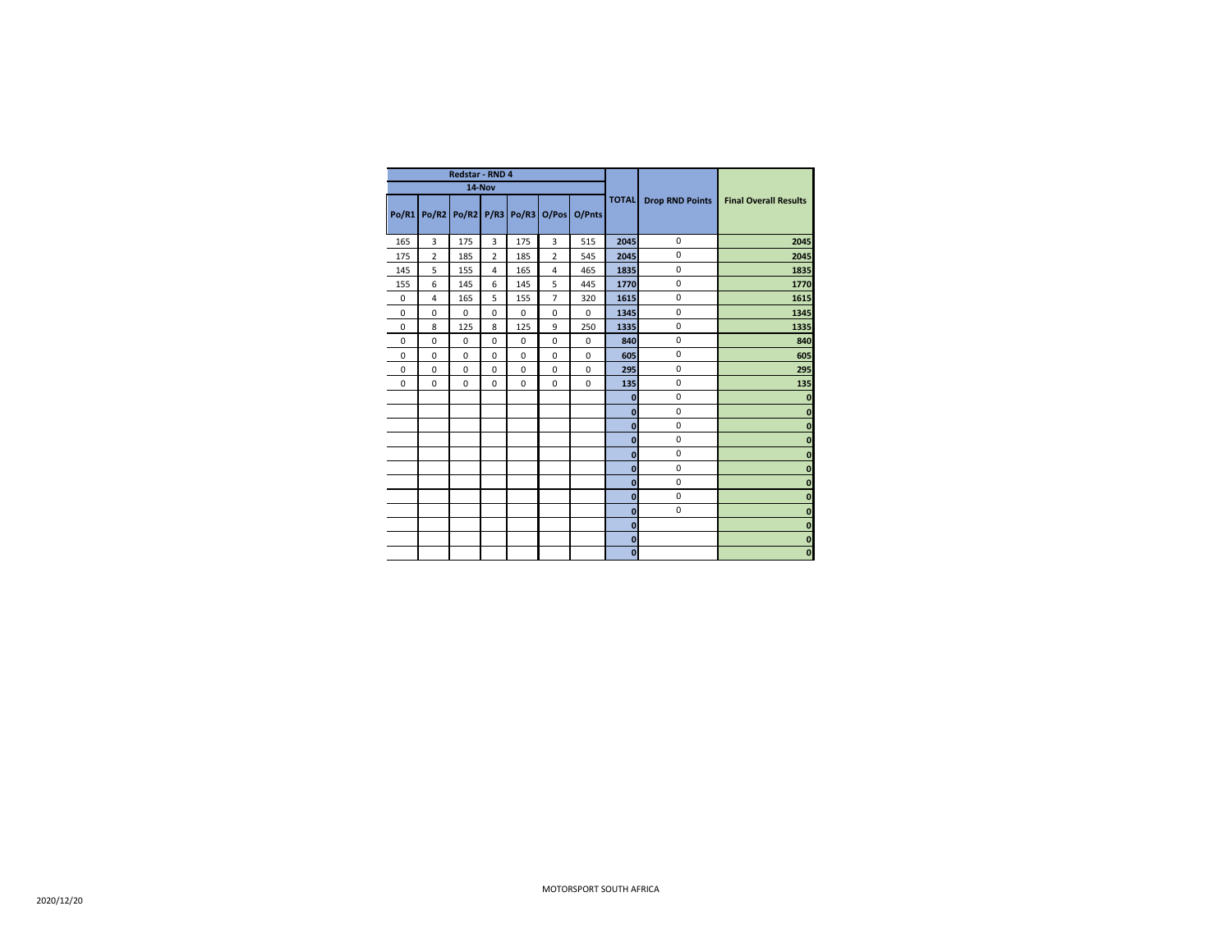|              |                | Redstar - RND 4        |                |     |                |             |              |                        |                              |
|--------------|----------------|------------------------|----------------|-----|----------------|-------------|--------------|------------------------|------------------------------|
|              |                | 14-Nov                 |                |     |                |             |              |                        |                              |
| <b>Po/R1</b> |                | Po/R2 Po/R2 P/R3 Po/R3 |                |     | O/Pos          | O/Pnts      | <b>TOTAL</b> | <b>Drop RND Points</b> | <b>Final Overall Results</b> |
| 165          | 3              | 175                    | $\overline{3}$ | 175 | 3              | 515         | 2045         | $\mathbf 0$            | 2045                         |
| 175          | $\overline{2}$ | 185                    | $\overline{2}$ | 185 | $\overline{2}$ | 545         | 2045         | 0                      | 2045                         |
| 145          | 5              | 155                    | $\overline{4}$ | 165 | $\overline{4}$ | 465         | 1835         | 0                      | 1835                         |
| 155          | 6              | 145                    | 6              | 145 | 5              | 445         | 1770         | 0                      | 1770                         |
| 0            | $\overline{4}$ | 165                    | 5              | 155 | $\overline{7}$ | 320         | 1615         | 0                      | 1615                         |
| 0            | $\mathbf 0$    | $\mathbf 0$            | $\mathbf 0$    | 0   | $\mathbf 0$    | $\mathbf 0$ | 1345         | $\mathbf 0$            | 1345                         |
| 0            | 8              | 125                    | 8              | 125 | 9              | 250         | 1335         | 0                      | 1335                         |
| 0            | $\mathbf 0$    | $\mathbf 0$            | $\mathbf 0$    | 0   | $\mathbf 0$    | $\mathbf 0$ | 840          | 0                      | 840                          |
| 0            | $\mathbf 0$    | $\mathbf 0$            | $\mathbf 0$    | 0   | $\mathbf 0$    | $\mathbf 0$ | 605          | $\mathbf 0$            | 605                          |
| 0            | $\mathbf 0$    | 0                      | $\mathbf 0$    | 0   | $\mathbf 0$    | $\mathbf 0$ | 295          | 0                      | 295                          |
| 0            | $\mathbf 0$    | $\mathbf 0$            | $\mathbf 0$    | 0   | $\mathbf 0$    | $\mathbf 0$ | 135          | 0                      | 135                          |
|              |                |                        |                |     |                |             | $\bf{0}$     | 0                      | 0                            |
|              |                |                        |                |     |                |             | $\mathbf{0}$ | 0                      | $\mathbf{0}$                 |
|              |                |                        |                |     |                |             | $\mathbf{0}$ | 0                      | 0                            |
|              |                |                        |                |     |                |             | $\mathbf{0}$ | $\mathbf 0$            | $\bf{0}$                     |
|              |                |                        |                |     |                |             | $\mathbf{0}$ | 0                      | $\mathbf{0}$                 |
|              |                |                        |                |     |                |             | $\mathbf{0}$ | 0                      | 0                            |
|              |                |                        |                |     |                |             | $\mathbf{0}$ | $\mathbf 0$            | $\bf{0}$                     |
|              |                |                        |                |     |                |             | $\pmb{0}$    | $\pmb{0}$              | $\bf{0}$                     |
|              |                |                        |                |     |                |             | $\mathbf{0}$ | $\mathbf 0$            | 0                            |
|              |                |                        |                |     |                |             | $\mathbf{0}$ |                        | 0                            |
|              |                |                        |                |     |                |             | $\bf{0}$     |                        | $\mathbf 0$                  |
|              |                |                        |                |     |                |             | $\mathbf{0}$ |                        | $\pmb{0}$                    |